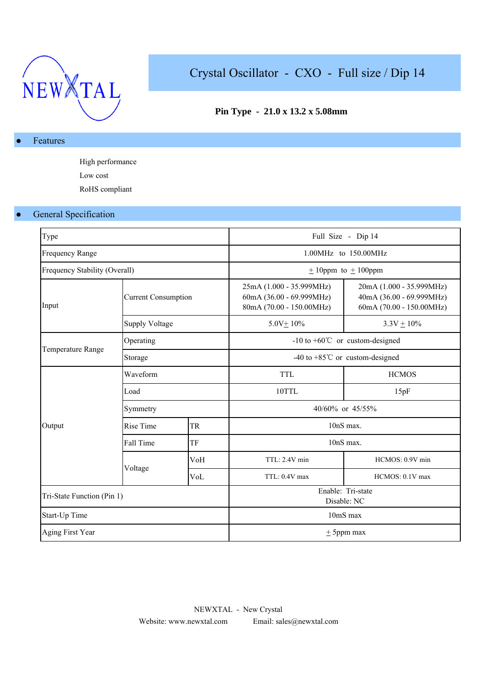

# Crystal Oscillator - CXO - Full size / Dip 14

## **Pin Type - 21.0 x 13.2 x 5.08mm**

### Features

High performance Low cost RoHS compliant

# General Specification

| Type                          |                            |     |                                                                                  | Full Size - Dip 14                                                               |  |  |  |  |  |
|-------------------------------|----------------------------|-----|----------------------------------------------------------------------------------|----------------------------------------------------------------------------------|--|--|--|--|--|
| <b>Frequency Range</b>        |                            |     |                                                                                  | 1.00MHz to 150.00MHz                                                             |  |  |  |  |  |
| Frequency Stability (Overall) |                            |     |                                                                                  | $\pm$ 10ppm to $\pm$ 100ppm                                                      |  |  |  |  |  |
| Input                         | <b>Current Consumption</b> |     | 25mA (1.000 - 35.999MHz)<br>60mA (36.00 - 69.999MHz)<br>80mA (70.00 - 150.00MHz) | 20mA (1.000 - 35.999MHz)<br>40mA (36.00 - 69.999MHz)<br>60mA (70.00 - 150.00MHz) |  |  |  |  |  |
|                               | <b>Supply Voltage</b>      |     | $5.0V \pm 10\%$                                                                  | $3.3V \pm 10\%$                                                                  |  |  |  |  |  |
|                               | Operating                  |     |                                                                                  | $-10$ to $+60^{\circ}$ or custom-designed                                        |  |  |  |  |  |
| Temperature Range             | Storage                    |     | -40 to +85 $^{\circ}$ C or custom-designed                                       |                                                                                  |  |  |  |  |  |
|                               | Waveform                   |     | <b>TTL</b>                                                                       | <b>HCMOS</b>                                                                     |  |  |  |  |  |
|                               | Load                       |     | 10TTL                                                                            | 15pF                                                                             |  |  |  |  |  |
|                               | Symmetry                   |     | 40/60% or 45/55%                                                                 |                                                                                  |  |  |  |  |  |
| Output                        | <b>Rise Time</b>           | TR  | 10nS max.                                                                        |                                                                                  |  |  |  |  |  |
|                               | Fall Time                  | TF  |                                                                                  | 10nS max.                                                                        |  |  |  |  |  |
|                               |                            | VoH | TTL: 2.4V min                                                                    | HCMOS: 0.9V min                                                                  |  |  |  |  |  |
|                               | Voltage                    | VoL | TTL: 0.4V max                                                                    | HCMOS: 0.1V max                                                                  |  |  |  |  |  |
| Tri-State Function (Pin 1)    |                            |     | Enable: Tri-state<br>Disable: NC                                                 |                                                                                  |  |  |  |  |  |
| Start-Up Time                 |                            |     | 10mS max                                                                         |                                                                                  |  |  |  |  |  |
| Aging First Year              |                            |     |                                                                                  | $\pm$ 5ppm max                                                                   |  |  |  |  |  |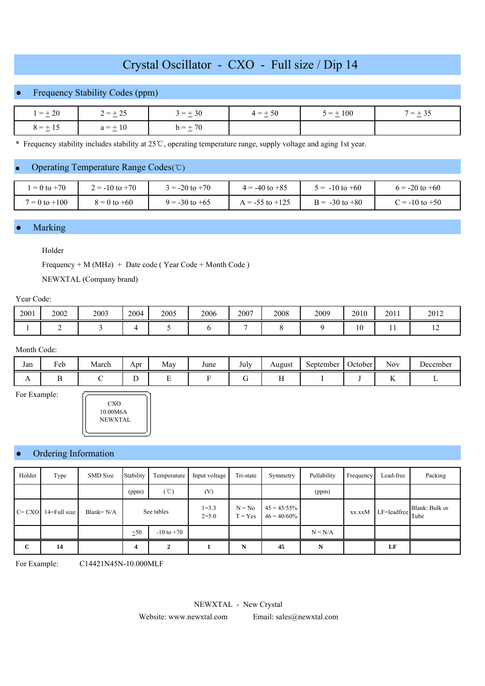# Crystal Oscillator - CXO - Full size / Dip 14

### Frequency Stability Codes (ppm)

| $1 = \pm 20$ | $2 = \pm 25$ | $3 = \pm 30$ | $4 = \pm 50$ | $5 = \pm 100$ | $7 = +35$ |  |
|--------------|--------------|--------------|--------------|---------------|-----------|--|
| $8 = +15$    | $a = \pm 10$ | $b = +70$    |              |               |           |  |

\* Frequency stability includes stability at 25 ℃, operating temperature range, supply voltage and aging 1st year.

#### ● Operating Temperature Range Codes (℃)

| $= 0$ to $+70$    | $2 = -10$ to $+70$ | $= -20$ to $+70$   | $4 = -40$ to $+85$  | $5 = -10$ to $+60$ | $6 = -20$ to $+60$     |
|-------------------|--------------------|--------------------|---------------------|--------------------|------------------------|
| $7 = 0$ to $+100$ | $8 = 0$ to $+60$   | $9 = -30$ to $+65$ | $A = -55$ to $+125$ | $B = -30$ to $+80$ | $\degree$ = -10 to +50 |

#### Marking

#### Holder

Frequency + M (MHz) + Date code ( Year Code + Month Code )

NEWXTAL (Company brand)

## Year Code:

| 2001 | 2002 | 2003 | 2004 | 2005 | 2006 | 2007 | 2008 | 2009 | 2010          | 2011 | 2012           |
|------|------|------|------|------|------|------|------|------|---------------|------|----------------|
|      | -    |      |      |      |      |      |      |      | $\sim$<br>1 V | . .  | $\overline{1}$ |

#### Month Code:

For Example:

| Jan            | Feb<br>. . | . .<br>March | Apr | May<br>$\sim$ | June | July | August | September | October | $\sim$ $\sim$<br><b>Nov</b> | December |
|----------------|------------|--------------|-----|---------------|------|------|--------|-----------|---------|-----------------------------|----------|
| $\overline{ }$ |            |              |     | ∸             |      |      |        |           |         |                             |          |

 CXO 10.00M6A NEWXTAL

### Ordering Information

| Holder      | Type         | <b>SMD</b> Size | Stability  | Temperature    | Input voltage          | Tri-state             | Symmetry                         | Pullability | Frequency | Lead-free   | Packing                |
|-------------|--------------|-----------------|------------|----------------|------------------------|-----------------------|----------------------------------|-------------|-----------|-------------|------------------------|
|             |              |                 | (ppm)      | (°C)           | (V)                    |                       |                                  | (ppm)       |           |             |                        |
| $C = CXO$   | 14=Full size | Blank= $N/A$    | See tables |                | $1 = 3.3$<br>$2 = 5.0$ | $N = No$<br>$T = Yes$ | $45 = 45/55\%$<br>$46 = 40/60\%$ |             | xx.xxM    | LF=leadfree | Blank: Bulk or<br>Tube |
|             |              |                 | ±50        | $-10$ to $+70$ |                        |                       |                                  | $N = N/A$   |           |             |                        |
| $\mathbf C$ | 14           |                 |            |                |                        | N                     | 45                               | N           |           | LF          |                        |

For Example: C14421N45N-10.000MLF

NEWXTAL - New Crystal

Website: www.newxtal.com Email: sales@newxtal.com